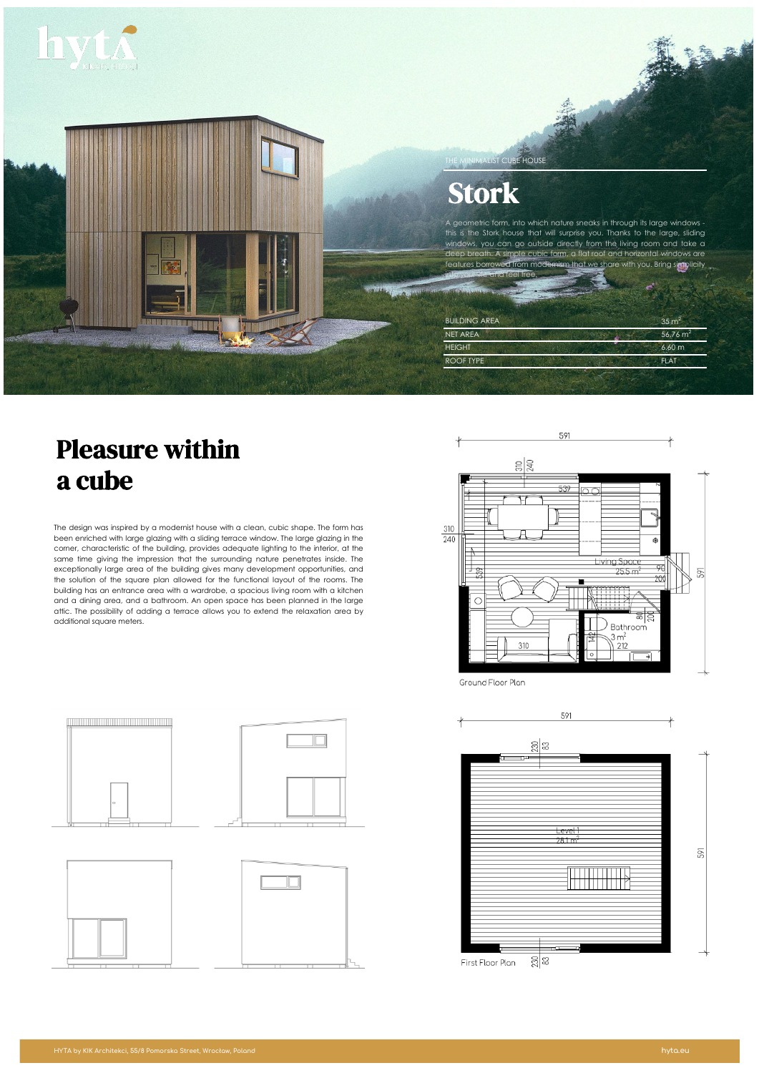



# Stork

THE MINIMALIST CUBE HOUSE

ometric form, into which nature sneaks in through its large windows this is the Stork house that will surprise you. Thanks to the large, sliding windows, you can go outside directly from the living room and take a deep breath. A simple cubic form, a flat roof and horizontal windows are  $\overline{\text{or} \text{over}}$  from modernism that we share with you. Bring simplicity into your life and feel free.

| <b>BUILDING AREA</b> | $35 \text{ m}^2$     |
|----------------------|----------------------|
| <b>NET AREA</b>      | 56,76 m <sup>2</sup> |
| <b>HEIGHT</b>        | $6,60 \, \text{m}$   |
| ROOF TYPE            | <b>FLAT</b>          |

# Pleasure within a cube

The design was inspired by a modernist house with a clean, cubic shape. The form has been enriched with large glazing with a sliding terrace window. The large glazing in the corner, characteristic of the building, provides adequate lighting to the interior, at the same time giving the impression that the surrounding nature penetrates inside. The exceptionally large area of the building gives many development opportunities, and the solution of the square plan allowed for the functional layout of the rooms. The building has an entrance area with a wardrobe, a spacious living room with a kitchen and a dining area, and a bathroom. An open space has been planned in the large attic. The possibility of adding a terrace allows you to extend the relaxation area by additional square meters.



Ground Floor Plan



# $\overline{\Box}$